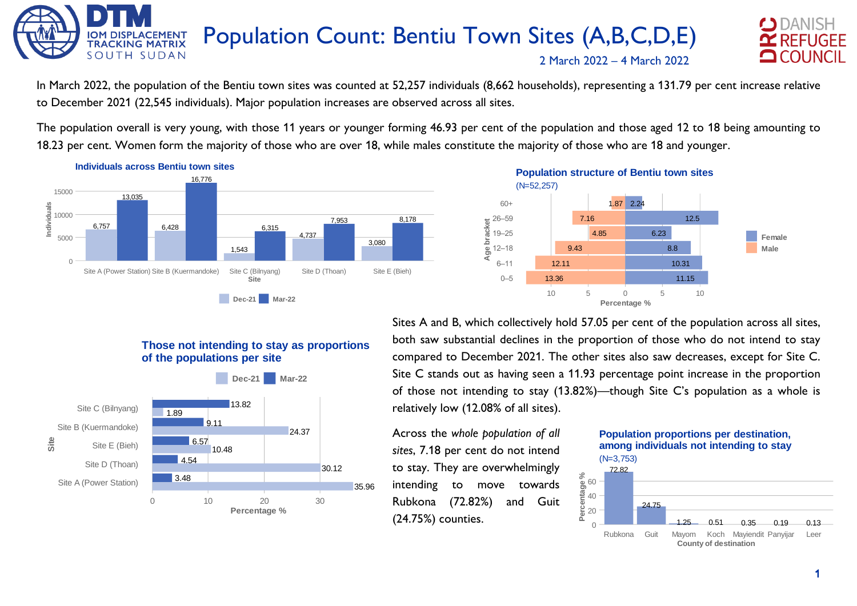



In March 2022, the population of the Bentiu town sites was counted at 52,257 individuals (8,662 households), representing a 131.79 per cent increase relative to December 2021 (22,545 individuals). Major population increases are observed across all sites.

The population overall is very young, with those 11 years or younger forming 46.93 per cent of the population and those aged 12 to 18 being amounting to 18.23 per cent. Women form the majority of those who are over 18, while males constitute the majority of those who are 18 and younger.



#### 13.36 12.11 9.43 4.85 7.16 1.87 2.24 11.15 10.31 8.8 6.23 12.5  $0 - 5$ 6–11 12–18 19–25  $\frac{1}{2}$  26–59 60+ 10 5 0 5 10 **Percentage % Age bracket Female Male** (N=52,257) **Population structure of Bentiu town sites**

### **Those not intending to stay as proportions of the populations per site**



Sites A and B, which collectively hold 57.05 per cent of the population across all sites, both saw substantial declines in the proportion of those who do not intend to stay compared to December 2021. The other sites also saw decreases, except for Site C. Site C stands out as having seen a 11.93 percentage point increase in the proportion of those not intending to stay (13.82%)—though Site C's population as a whole is relatively low (12.08% of all sites).

Across the *whole population of all sites*, 7.18 per cent do not intend to stay. They are overwhelmingly intending to move towards Rubkona (72.82%) and Guit (24.75%) counties.

#### (N=3,753) **Population proportions per destination, among individuals not intending to stay**

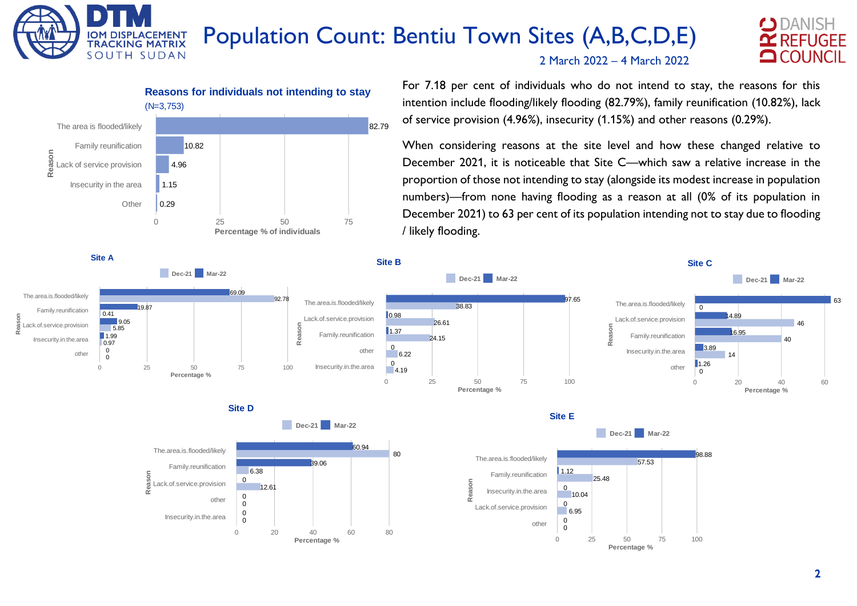# Population Count: Bentiu Town Sites (A,B,C,D,E)





**IOM DISPLA** 

**TRACKING MATRIX** SOUTH SUDAN

**CEMENT** 

For 7.18 per cent of individuals who do not intend to stay, the reasons for this intention include flooding/likely flooding (82.79%), family reunification (10.82%), lack of service provision (4.96%), insecurity (1.15%) and other reasons (0.29%).

2 March 2022 – 4 March 2022

When considering reasons at the site level and how these changed relative to December 2021, it is noticeable that Site C—which saw a relative increase in the proportion of those not intending to stay (alongside its modest increase in population numbers)—from none having flooding as a reason at all (0% of its population in December 2021) to 63 per cent of its population intending not to stay due to flooding / likely flooding.